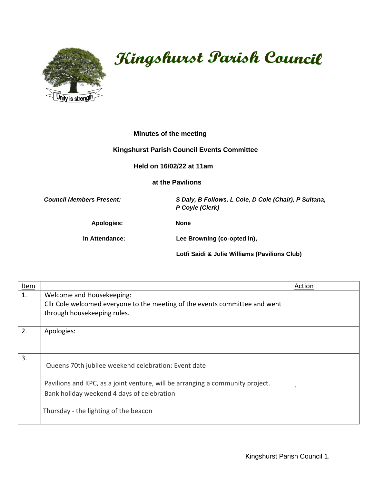

## Kingshurst Parish Council

## **Minutes of the meeting**

## **Kingshurst Parish Council Events Committee**

 **Held on 16/02/22 at 11am**

 **at the Pavilions** 

*Council Members Present: S Daly, B Follows, L Cole, D Cole (Chair), P Sultana, P Coyle (Clerk)*

**Apologies: None** 

 **In Attendance: Lee Browning (co-opted in),** 

 **Lotfi Saidi & Julie Williams (Pavilions Club)** 

| <b>Item</b> |                                                                               | Action |
|-------------|-------------------------------------------------------------------------------|--------|
| 1.          | Welcome and Housekeeping:                                                     |        |
|             | Cllr Cole welcomed everyone to the meeting of the events committee and went   |        |
|             | through housekeeping rules.                                                   |        |
| 2.          | Apologies:                                                                    |        |
|             |                                                                               |        |
|             |                                                                               |        |
| 3.          | Queens 70th jubilee weekend celebration: Event date                           |        |
|             |                                                                               |        |
|             | Pavilions and KPC, as a joint venture, will be arranging a community project. |        |
|             | Bank holiday weekend 4 days of celebration                                    |        |
|             | Thursday - the lighting of the beacon                                         |        |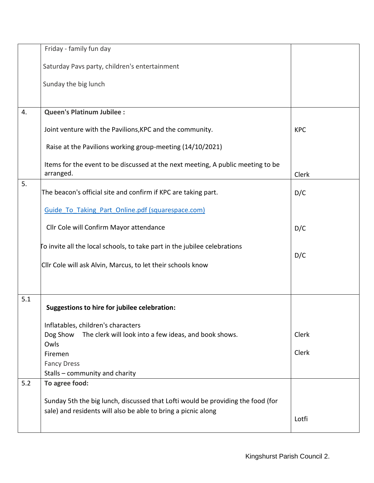|     | Friday - family fun day                                                                      |            |
|-----|----------------------------------------------------------------------------------------------|------------|
|     | Saturday Pavs party, children's entertainment                                                |            |
|     | Sunday the big lunch                                                                         |            |
|     |                                                                                              |            |
| 4.  | <b>Queen's Platinum Jubilee :</b>                                                            |            |
|     | Joint venture with the Pavilions, KPC and the community.                                     | <b>KPC</b> |
|     | Raise at the Pavilions working group-meeting (14/10/2021)                                    |            |
|     | Items for the event to be discussed at the next meeting, A public meeting to be<br>arranged. | Clerk      |
| 5.  |                                                                                              |            |
|     | The beacon's official site and confirm if KPC are taking part.                               | D/C        |
|     | Guide To Taking Part Online.pdf (squarespace.com)                                            |            |
|     | Cllr Cole will Confirm Mayor attendance                                                      | D/C        |
|     | To invite all the local schools, to take part in the jubilee celebrations                    | D/C        |
|     | Cllr Cole will ask Alvin, Marcus, to let their schools know                                  |            |
|     |                                                                                              |            |
| 5.1 | <b>Suggestions to hire for jubilee celebration:</b>                                          |            |
|     |                                                                                              |            |
|     | Inflatables, children's characters                                                           |            |
|     | Dog Show The clerk will look into a few ideas, and book shows.<br>Owls                       | Clerk      |
|     | Firemen                                                                                      | Clerk      |
|     | <b>Fancy Dress</b>                                                                           |            |
|     | Stalls - community and charity                                                               |            |
| 5.2 | To agree food:                                                                               |            |
|     |                                                                                              |            |
|     | Sunday 5th the big lunch, discussed that Lofti would be providing the food (for              |            |
|     | sale) and residents will also be able to bring a picnic along                                |            |
|     |                                                                                              | Lotfi      |